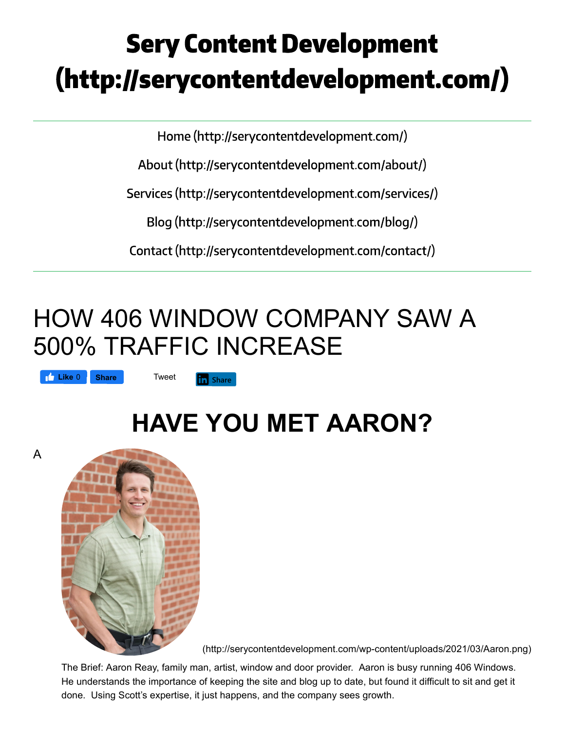# **Sery Content Development** (http://serycontentdevelopment.com/)

Home (http://serycontentdevelopment.com/)

About (http://serycontentdevelopment.com/about/)

Services (http://serycontentdevelopment.com/services/)

Blog (http://serycontentdevelopment.com/blog/)

Contact (http://serycontentdevelopment.com/contact/)

## HOW 406 WINDOW COMPANY SAW A 500% TRAFFIC INCREASE

**Like** 0 **Share Tweet** 

fin Share

## **HAVE YOU MET AARON?**





(http://serycontentdevelopment.com/wp-content/uploads/2021/03/Aaron.png)

The Brief: Aaron Reay, family man, artist, window and door provider. Aaron is busy running 406 Windows. He understands the importance of keeping the site and blog up to date, but found it difficult to sit and get it done. Using Scott's expertise, it just happens, and the company sees growth.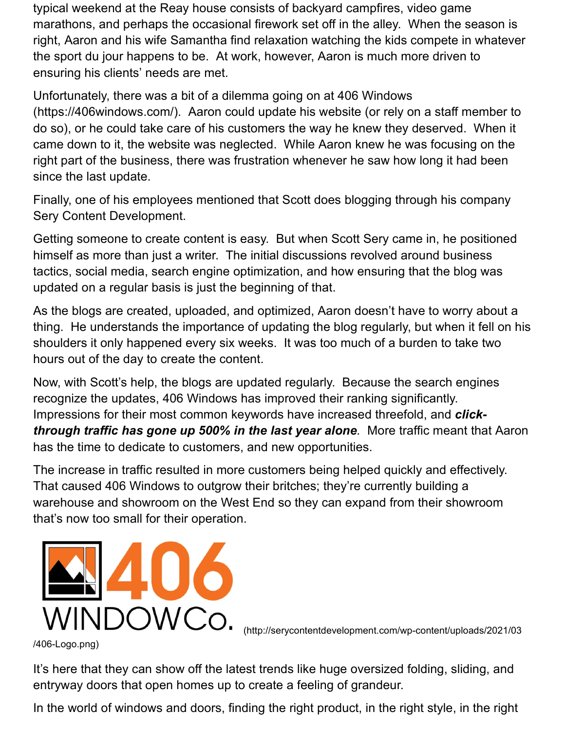typical weekend at the Reay house consists of backyard campfires, video game marathons, and perhaps the occasional firework set off in the alley. When the season is right, Aaron and his wife Samantha find relaxation watching the kids compete in whatever the sport du jour happens to be. At work, however, Aaron is much more driven to ensuring his clients' needs are met.

Unfortunately, there was a bit of a dilemma going on at 406 Windows (https://406windows.com/). Aaron could update his website (or rely on a staff member to do so), or he could take care of his customers the way he knew they deserved. When it came down to it, the website was neglected. While Aaron knew he was focusing on the right part of the business, there was frustration whenever he saw how long it had been since the last update.

Finally, one of his employees mentioned that Scott does blogging through his company Sery Content Development.

Getting someone to create content is easy. But when Scott Sery came in, he positioned himself as more than just a writer. The initial discussions revolved around business tactics, social media, search engine optimization, and how ensuring that the blog was updated on a regular basis is just the beginning of that.

As the blogs are created, uploaded, and optimized, Aaron doesn't have to worry about a thing. He understands the importance of updating the blog regularly, but when it fell on his shoulders it only happened every six weeks. It was too much of a burden to take two hours out of the day to create the content.

Now, with Scott's help, the blogs are updated regularly. Because the search engines recognize the updates, 406 Windows has improved their ranking significantly. Impressions for their most common keywords have increased threefold, and *clickthrough traffic has gone up 500% in the last year alone.* More traffic meant that Aaron has the time to dedicate to customers, and new opportunities.

The increase in traffic resulted in more customers being helped quickly and effectively. That caused 406 Windows to outgrow their britches; they're currently building a warehouse and showroom on the West End so they can expand from their showroom that's now too small for their operation.



(http://serycontentdevelopment.com/wp-content/uploads/2021/03

/406-Logo.png)

It's here that they can show off the latest trends like huge oversized folding, sliding, and entryway doors that open homes up to create a feeling of grandeur.

In the world of windows and doors, finding the right product, in the right style, in the right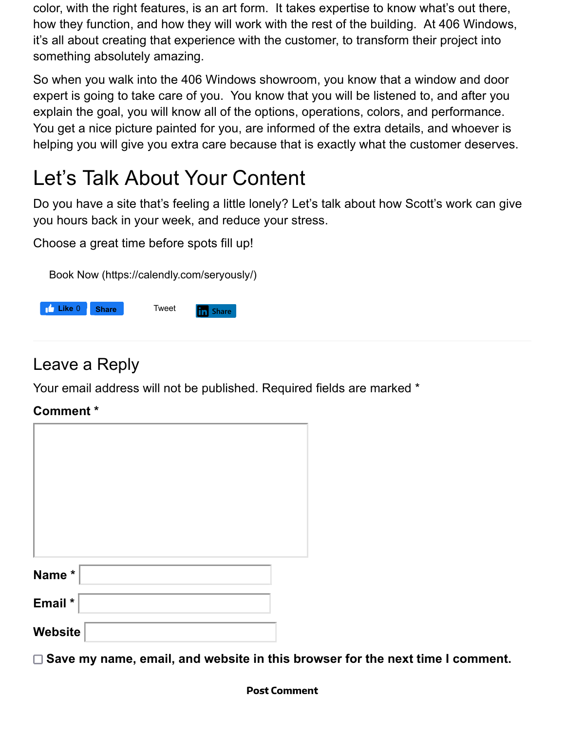color, with the right features, is an art form. It takes expertise to know what's out there, how they function, and how they will work with the rest of the building. At 406 Windows, it's all about creating that experience with the customer, to transform their project into something absolutely amazing.

So when you walk into the 406 Windows showroom, you know that a window and door expert is going to take care of you. You know that you will be listened to, and after you explain the goal, you will know all of the options, operations, colors, and performance. You get a nice picture painted for you, are informed of the extra details, and whoever is helping you will give you extra care because that is exactly what the customer deserves.

### Let's Talk About Your Content

Do you have a site that's feeling a little lonely? Let's talk about how Scott's work can give you hours back in your week, and reduce your stress.

Choose a great time before spots fill up!

Book Now (https://calendly.com/seryously/)



#### Leave a Reply

Your email address will not be published. Required fields are marked \*

#### **Comment \***

| Name*   |  |
|---------|--|
|         |  |
| Email * |  |
| Website |  |

□ Save my name, email, and website in this browser for the next time I comment.